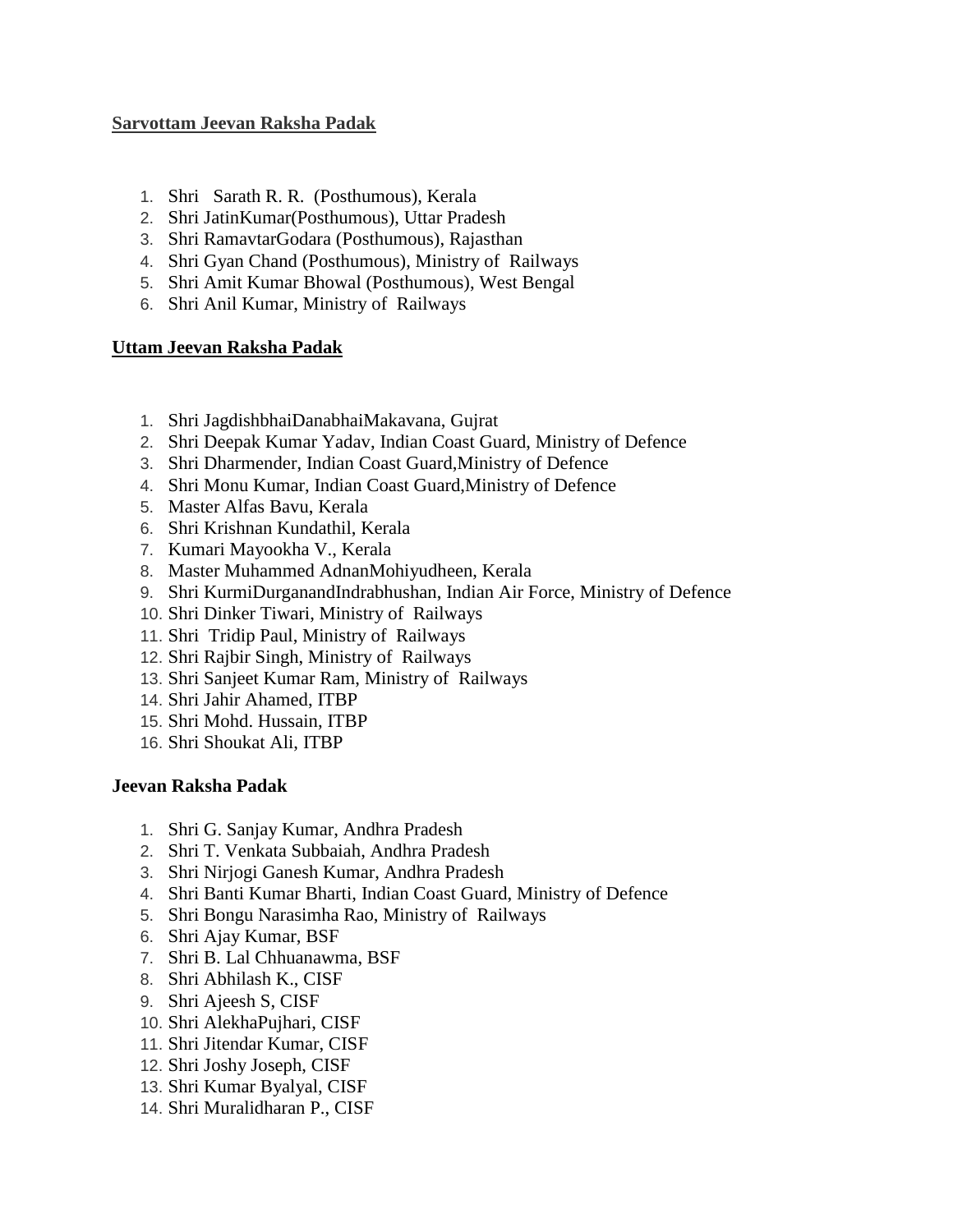## **Sarvottam Jeevan Raksha Padak**

- 1. Shri Sarath R. R. (Posthumous), Kerala
- 2. Shri JatinKumar(Posthumous), Uttar Pradesh
- 3. Shri RamavtarGodara (Posthumous), Rajasthan
- 4. Shri Gyan Chand (Posthumous), Ministry of Railways
- 5. Shri Amit Kumar Bhowal (Posthumous), West Bengal
- 6. Shri Anil Kumar, Ministry of Railways

## **Uttam Jeevan Raksha Padak**

- 1. Shri JagdishbhaiDanabhaiMakavana, Gujrat
- 2. Shri Deepak Kumar Yadav, Indian Coast Guard, Ministry of Defence
- 3. Shri Dharmender, Indian Coast Guard,Ministry of Defence
- 4. Shri Monu Kumar, Indian Coast Guard,Ministry of Defence
- 5. Master Alfas Bavu, Kerala
- 6. Shri Krishnan Kundathil, Kerala
- 7. Kumari Mayookha V., Kerala
- 8. Master Muhammed AdnanMohiyudheen, Kerala
- 9. Shri KurmiDurganandIndrabhushan, Indian Air Force, Ministry of Defence
- 10. Shri Dinker Tiwari, Ministry of Railways
- 11. Shri Tridip Paul, Ministry of Railways
- 12. Shri Rajbir Singh, Ministry of Railways
- 13. Shri Sanjeet Kumar Ram, Ministry of Railways
- 14. Shri Jahir Ahamed, ITBP
- 15. Shri Mohd. Hussain, ITBP
- 16. Shri Shoukat Ali, ITBP

## **Jeevan Raksha Padak**

- 1. Shri G. Sanjay Kumar, Andhra Pradesh
- 2. Shri T. Venkata Subbaiah, Andhra Pradesh
- 3. Shri Nirjogi Ganesh Kumar, Andhra Pradesh
- 4. Shri Banti Kumar Bharti, Indian Coast Guard, Ministry of Defence
- 5. Shri Bongu Narasimha Rao, Ministry of Railways
- 6. Shri Ajay Kumar, BSF
- 7. Shri B. Lal Chhuanawma, BSF
- 8. Shri Abhilash K., CISF
- 9. Shri Ajeesh S, CISF
- 10. Shri AlekhaPujhari, CISF
- 11. Shri Jitendar Kumar, CISF
- 12. Shri Joshy Joseph, CISF
- 13. Shri Kumar Byalyal, CISF
- 14. Shri Muralidharan P., CISF